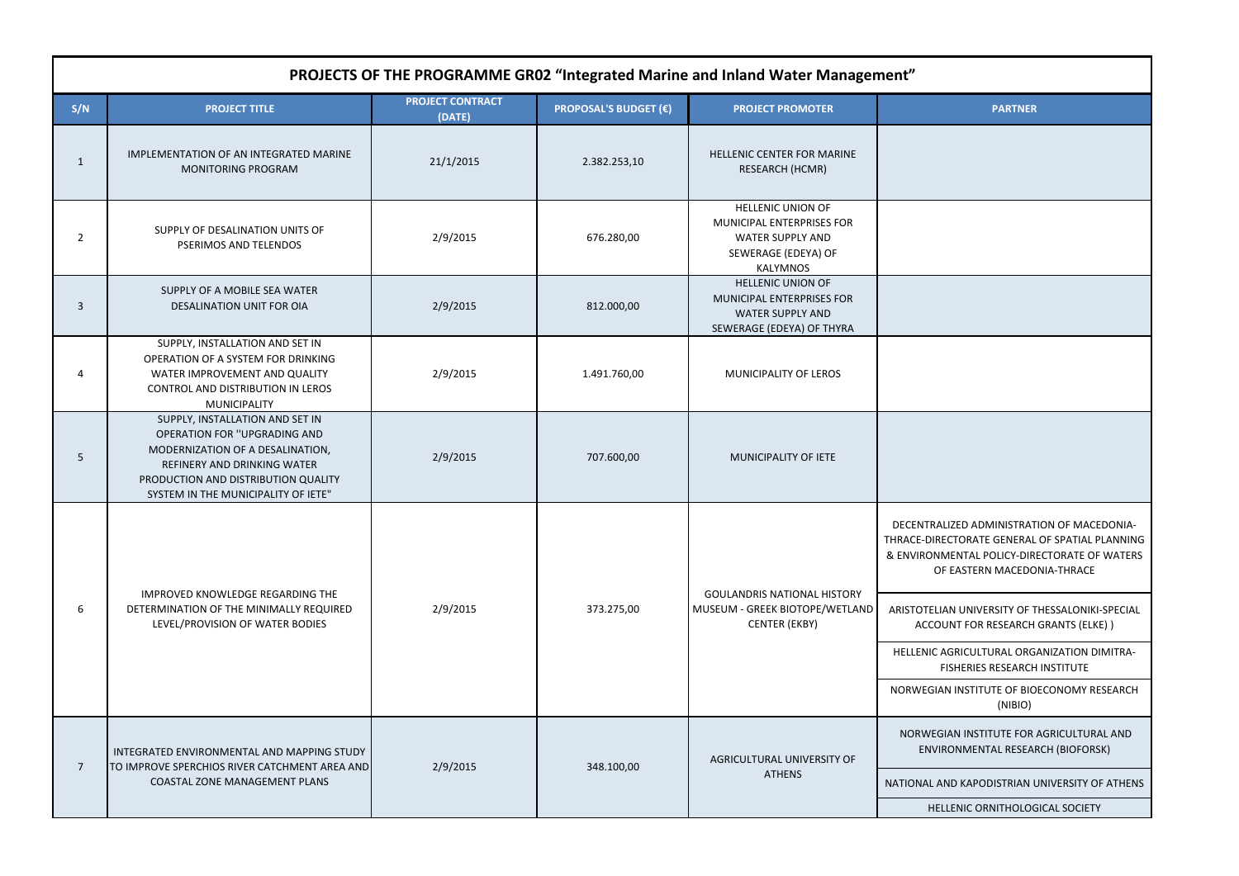TRALIZED ADMINISTRATION OF MACEDONIA-DIRECTORATE GENERAL OF SPATIAL PLANNING ONMENTAL POLICY-DIRECTORATE OF WATERS OF EASTERN MACEDONIA-THRACE

**ELIAN UNIVERSITY OF THESSALONIKI-SPECIAL** .<br>COUNT FOR RESEARCH GRANTS (ELKE) )

IIC AGRICULTURAL ORGANIZATION DIMITRA-FISHERIES RESEARCH INSTITUTE

GIAN INSTITUTE OF BIOECONOMY RESEARCH (NIBIO)

**IEGIAN INSTITUTE FOR AGRICULTURAL AND** ENVIRONMENTAL RESEARCH (BIOFORSK)

L AND KAPODISTRIAN UNIVERSITY OF ATHENS

| PROJECTS OF THE PROGRAMME GR02 "Integrated Marine and Inland Water Management" |                                                                                                                                                                                                                         |                                   |                              |                                                                                                                                   |                                                                                                                                                                           |  |  |  |  |
|--------------------------------------------------------------------------------|-------------------------------------------------------------------------------------------------------------------------------------------------------------------------------------------------------------------------|-----------------------------------|------------------------------|-----------------------------------------------------------------------------------------------------------------------------------|---------------------------------------------------------------------------------------------------------------------------------------------------------------------------|--|--|--|--|
| S/N                                                                            | <b>PROJECT TITLE</b>                                                                                                                                                                                                    | <b>PROJECT CONTRACT</b><br>(DATE) | <b>PROPOSAL'S BUDGET (€)</b> | <b>PROJECT PROMOTER</b>                                                                                                           | <b>PARTNER</b>                                                                                                                                                            |  |  |  |  |
| $\mathbf{1}$                                                                   | IMPLEMENTATION OF AN INTEGRATED MARINE<br><b>MONITORING PROGRAM</b>                                                                                                                                                     | 21/1/2015                         | 2.382.253,10                 | HELLENIC CENTER FOR MARINE<br><b>RESEARCH (HCMR)</b>                                                                              |                                                                                                                                                                           |  |  |  |  |
| $\overline{2}$                                                                 | SUPPLY OF DESALINATION UNITS OF<br>PSERIMOS AND TELENDOS                                                                                                                                                                | 2/9/2015                          | 676.280,00                   | <b>HELLENIC UNION OF</b><br><b>MUNICIPAL ENTERPRISES FOR</b><br><b>WATER SUPPLY AND</b><br>SEWERAGE (EDEYA) OF<br><b>KALYMNOS</b> |                                                                                                                                                                           |  |  |  |  |
| 3                                                                              | SUPPLY OF A MOBILE SEA WATER<br>DESALINATION UNIT FOR OIA                                                                                                                                                               | 2/9/2015                          | 812.000,00                   | <b>HELLENIC UNION OF</b><br><b>MUNICIPAL ENTERPRISES FOR</b><br><b>WATER SUPPLY AND</b><br>SEWERAGE (EDEYA) OF THYRA              |                                                                                                                                                                           |  |  |  |  |
| 4                                                                              | SUPPLY, INSTALLATION AND SET IN<br>OPERATION OF A SYSTEM FOR DRINKING<br>WATER IMPROVEMENT AND QUALITY<br>CONTROL AND DISTRIBUTION IN LEROS<br><b>MUNICIPALITY</b>                                                      | 2/9/2015                          | 1.491.760,00                 | MUNICIPALITY OF LEROS                                                                                                             |                                                                                                                                                                           |  |  |  |  |
| 5                                                                              | SUPPLY, INSTALLATION AND SET IN<br><b>OPERATION FOR "UPGRADING AND</b><br>MODERNIZATION OF A DESALINATION,<br>REFINERY AND DRINKING WATER<br>PRODUCTION AND DISTRIBUTION QUALITY<br>SYSTEM IN THE MUNICIPALITY OF IETE" | 2/9/2015                          | 707.600,00                   | MUNICIPALITY OF IETE                                                                                                              |                                                                                                                                                                           |  |  |  |  |
| 6                                                                              | IMPROVED KNOWLEDGE REGARDING THE<br>DETERMINATION OF THE MINIMALLY REQUIRED<br>LEVEL/PROVISION OF WATER BODIES                                                                                                          | 2/9/2015                          | 373.275,00                   | <b>GOULANDRIS NATIONAL HISTORY</b><br>MUSEUM - GREEK BIOTOPE/WETLAND<br><b>CENTER (EKBY)</b>                                      | DECENTRALIZED ADMINISTRAT<br>THRACE-DIRECTORATE GENERAL<br>& ENVIRONMENTAL POLICY-DIR<br>OF EASTERN MACEDC<br>ARISTOTELIAN UNIVERSITY OF 1<br><b>ACCOUNT FOR RESEARCH</b> |  |  |  |  |
|                                                                                |                                                                                                                                                                                                                         |                                   |                              |                                                                                                                                   | HELLENIC AGRICULTURAL ORG<br><b>FISHERIES RESEARCH</b><br>NORWEGIAN INSTITUTE OF BIC<br>(NIBIO)                                                                           |  |  |  |  |
| $\overline{7}$                                                                 | INTEGRATED ENVIRONMENTAL AND MAPPING STUDY<br>TO IMPROVE SPERCHIOS RIVER CATCHMENT AREA AND<br><b>COASTAL ZONE MANAGEMENT PLANS</b>                                                                                     | 2/9/2015                          | 348.100,00                   | AGRICULTURAL UNIVERSITY OF                                                                                                        | NORWEGIAN INSTITUTE FOR<br><b>ENVIRONMENTAL RESEA</b>                                                                                                                     |  |  |  |  |
|                                                                                |                                                                                                                                                                                                                         |                                   |                              | <b>ATHENS</b>                                                                                                                     | NATIONAL AND KAPODISTRIAN I<br><b>HELLENIC ORNITHOLOG</b>                                                                                                                 |  |  |  |  |

| <b>PARTNER</b> |  |
|----------------|--|
|                |  |
|                |  |

HELLENIC ORNITHOLOGICAL SOCIETY